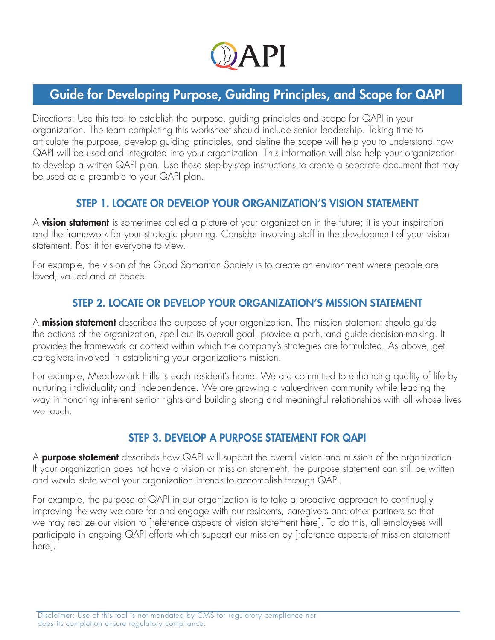

# Guide for Developing Purpose, Guiding Principles, and Scope for QAPI

Directions: Use this tool to establish the purpose, guiding principles and scope for QAPI in your organization. The team completing this worksheet should include senior leadership. Taking time to articulate the purpose, develop guiding principles, and define the scope will help you to understand how QAPI will be used and integrated into your organization. This information will also help your organization to develop a written QAPI plan. Use these step-by-step instructions to create a separate document that may be used as a preamble to your QAPI plan.

### STEP 1. LOCATE OR DEVELOP YOUR ORGANIZATION'S VISION STATEMENT

A **vision statement** is sometimes called a picture of your organization in the future; it is your inspiration and the framework for your strategic planning. Consider involving staff in the development of your vision statement. Post it for everyone to view.

For example, the vision of the Good Samaritan Society is to create an environment where people are loved, valued and at peace.

### STEP 2. LOCATE OR DEVELOP YOUR ORGANIZATION'S MISSION STATEMENT

A **mission statement** describes the purpose of your organization. The mission statement should guide the actions of the organization, spell out its overall goal, provide a path, and guide decision-making. It provides the framework or context within which the company's strategies are formulated. As above, get caregivers involved in establishing your organizations mission.

For example, Meadowlark Hills is each resident's home. We are committed to enhancing quality of life by nurturing individuality and independence. We are growing a value-driven community while leading the way in honoring inherent senior rights and building strong and meaningful relationships with all whose lives we touch.

### STEP 3. DEVELOP A PURPOSE STATEMENT FOR QAPI

A **purpose statement** describes how QAPI will support the overall vision and mission of the organization. If your organization does not have a vision or mission statement, the purpose statement can still be written and would state what your organization intends to accomplish through QAPI.

For example, the purpose of QAPI in our organization is to take a proactive approach to continually improving the way we care for and engage with our residents, caregivers and other partners so that we may realize our vision to [reference aspects of vision statement here]. To do this, all employees will participate in ongoing QAPI efforts which support our mission by [reference aspects of mission statement here].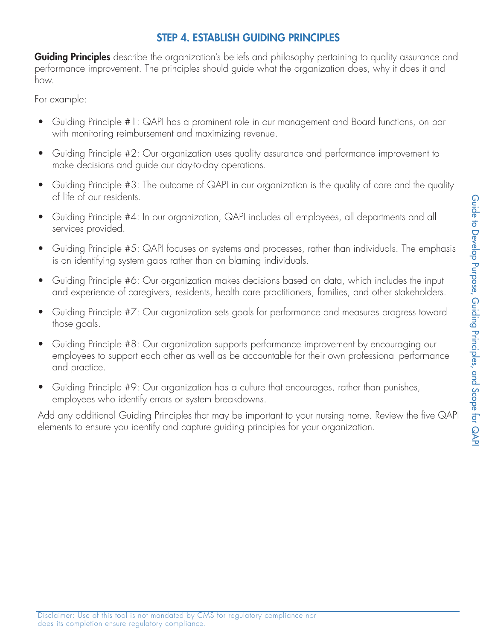## STEP 4. ESTABLISH GUIDING PRINCIPLES

**Guiding Principles** describe the organization's beliefs and philosophy pertaining to quality assurance and performance improvement. The principles should guide what the organization does, why it does it and how.

For example:

- Guiding Principle #1: QAPI has a prominent role in our management and Board functions, on par with monitoring reimbursement and maximizing revenue.
- Guiding Principle #2: Our organization uses quality assurance and performance improvement to make decisions and guide our day-to-day operations.
- Guiding Principle #3: The outcome of QAPI in our organization is the quality of care and the quality of life of our residents.
- Guiding Principle #4: In our organization, QAPI includes all employees, all departments and all services provided.
- Guiding Principle #5: QAPI focuses on systems and processes, rather than individuals. The emphasis is on identifying system gaps rather than on blaming individuals.
- Guiding Principle #6: Our organization makes decisions based on data, which includes the input and experience of caregivers, residents, health care practitioners, families, and other stakeholders.
- Guiding Principle #7: Our organization sets goals for performance and measures progress toward those goals.
- Guiding Principle #8: Our organization supports performance improvement by encouraging our employees to support each other as well as be accountable for their own professional performance and practice.
- Guiding Principle #9: Our organization has a culture that encourages, rather than punishes, employees who identify errors or system breakdowns.

Add any additional Guiding Principles that may be important to your nursing home. Review the five QAPI elements to ensure you identify and capture guiding principles for your organization.